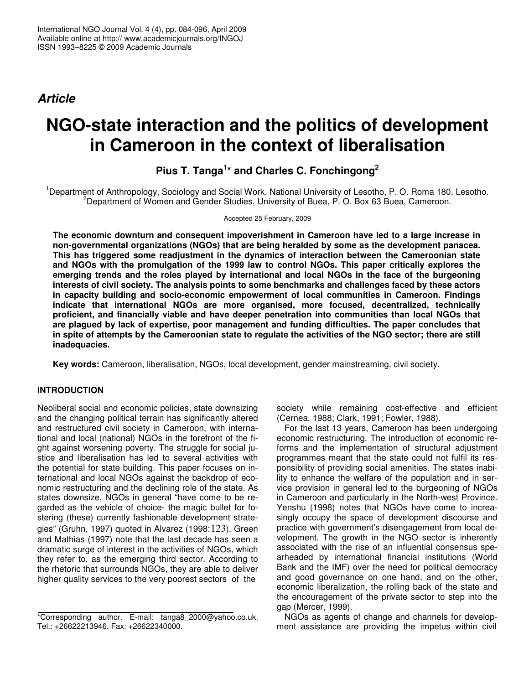*Article*

# **NGO-state interaction and the politics of development in Cameroon in the context of liberalisation**

**Pius T. Tanga 1 \* and Charles C. Fonchingong 2**

<sup>1</sup>Department of Anthropology, Sociology and Social Work, National University of Lesotho, P. O. Roma 180, Lesotho. <sup>2</sup>Department of Women and Gender Studies, University of Buea, P. O. Box 63 Buea, Cameroon.

Accepted 25 February, 2009

**The economic downturn and consequent impoverishment in Cameroon have led to a large increase in non-governmental organizations (NGOs) that are being heralded by some as the development panacea. This has triggered some readjustment in the dynamics of interaction between the Cameroonian state and NGOs with the promulgation of the 1999 law to control NGOs. This paper critically explores the emerging trends and the roles played by international and local NGOs in the face of the burgeoning interests of civil society. The analysis points to some benchmarks and challenges faced by these actors in capacity building and socio-economic empowerment of local communities in Cameroon. Findings indicate that international NGOs are more organised, more focused, decentralized, technically proficient, and financially viable and have deeper penetration into communities than local NGOs that are plagued by lack of expertise, poor management and funding difficulties. The paper concludes that** in spite of attempts by the Cameroonian state to regulate the activities of the NGO sector; there are still **inadequacies.**

**Key words:** Cameroon, liberalisation, NGOs, local development, gender mainstreaming, civil society.

## **INTRODUCTION**

Neoliberal social and economic policies, state downsizing and the changing political terrain has significantly altered and restructured civil society in Cameroon, with international and local (national) NGOs in the forefront of the fight against worsening poverty. The struggle for social justice and liberalisation has led to several activities with the potential for state building. This paper focuses on international and local NGOs against the backdrop of economic restructuring and the declining role of the state. As states downsize, NGOs in general "have come to be regarded as the vehicle of choice- the magic bullet for fostering (these) currently fashionable development strategies" (Gruhn, 1997) quoted in Alvarez (1998:123). Green and Mathias (1997) note that the last decade has seen a dramatic surge of interest in the activities of NGOs, which they refer to, as the emerging third sector. According to the rhetoric that surrounds NGOs, they are able to deliver higher quality services to the very poorest sectors of the

society while remaining cost-effective and efficient (Cernea, 1988; Clark, 1991; Fowler, 1988).

For the last 13 years, Cameroon has been undergoing economic restructuring. The introduction of economic reforms and the implementation of structural adjustment programmes meant that the state could not fulfil its responsibility of providing social amenities. The states inability to enhance the welfare of the population and in service provision in general led to the burgeoning of NGOs in Cameroon and particularly in the North-west Province. Yenshu (1998) notes that NGOs have come to increasingly occupy the space of development discourse and practice with government's disengagement from local development. The growth in the NGO sector is inherently associated with the rise of an influential consensus spearheaded by international financial institutions (World Bank and the IMF) over the need for political democracy and good governance on one hand, and on the other, economic liberalization, the rolling back of the state and the encouragement of the private sector to step into the gap (Mercer, 1999).

NGOs as agents of change and channels for development assistance are providing the impetus within civil

<sup>\*</sup>Corresponding author. E-mail: tanga8\_2000@yahoo.co.uk. Tel.: +26622213946. Fax: +26622340000.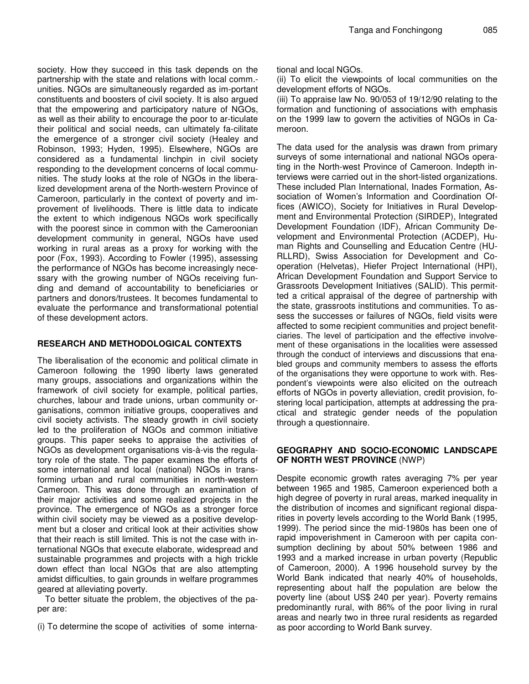society. How they succeed in this task depends on the partnership with the state and relations with local comm. unities. NGOs are simultaneously regarded as im-portant constituents and boosters of civil society. It is also argued that the empowering and participatory nature of NGOs, as well as their ability to encourage the poor to ar-ticulate their political and social needs, can ultimately fa-cilitate the emergence of a stronger civil society (Healey and Robinson, 1993; Hyden, 1995). Elsewhere, NGOs are considered as a fundamental linchpin in civil society responding to the development concerns of local communities. The study looks at the role of NGOs in the liberalized development arena of the North-western Province of Cameroon, particularly in the context of poverty and improvement of livelihoods. There is little data to indicate the extent to which indigenous NGOs work specifically with the poorest since in common with the Cameroonian development community in general, NGOs have used working in rural areas as a proxy for working with the poor (Fox, 1993). According to Fowler (1995), assessing the performance of NGOs has become increasingly necessary with the growing number of NGOs receiving funding and demand of accountability to beneficiaries or partners and donors/trustees. It becomes fundamental to evaluate the performance and transformational potential of these development actors.

### **RESEARCH AND METHODOLOGICAL CONTEXTS**

The liberalisation of the economic and political climate in Cameroon following the 1990 liberty laws generated many groups, associations and organizations within the framework of civil society for example, political parties, churches, labour and trade unions, urban community organisations, common initiative groups, cooperatives and civil society activists. The steady growth in civil society led to the proliferation of NGOs and common initiative groups. This paper seeks to appraise the activities of NGOs as development organisations vis-à-vis the regulatory role of the state. The paper examines the efforts of some international and local (national) NGOs in transforming urban and rural communities in north-western Cameroon. This was done through an examination of their major activities and some realized projects in the province. The emergence of NGOs as a stronger force within civil society may be viewed as a positive development but a closer and critical look at their activities show that their reach is still limited. This is not the case with international NGOs that execute elaborate, widespread and sustainable programmes and projects with a high trickle down effect than local NGOs that are also attempting amidst difficulties, to gain grounds in welfare programmes geared at alleviating poverty.

To better situate the problem, the objectives of the paper are:

(i) To determine the scope of activities of some interna-

#### tional and local NGOs.

(ii) To elicit the viewpoints of local communities on the development efforts of NGOs.

(iii) To appraise law No. 90/053 of 19/12/90 relating to the formation and functioning of associations with emphasis on the 1999 law to govern the activities of NGOs in Cameroon.

The data used for the analysis was drawn from primary surveys of some international and national NGOs operating in the North-west Province of Cameroon. Indepth interviews were carried out in the short-listed organizations. These included Plan International, Inades Formation, Association of Women's Information and Coordination Offices (AWICO), Society for Initiatives in Rural Development and Environmental Protection (SIRDEP), Integrated Development Foundation (IDF), African Community Development and Environmental Protection (ACDEP), Human Rights and Counselling and Education Centre (HU-RLLRD), Swiss Association for Development and Cooperation (Helvetas), Hiefer Project International (HPI), African Development Foundation and Support Service to Grassroots Development Initiatives (SALID). This permitted a critical appraisal of the degree of partnership with the state, grassroots institutions and communities. To assess the successes or failures of NGOs, field visits were affected to some recipient communities and project benefitciaries. The level of participation and the effective involvement of these organisations in the localities were assessed through the conduct of interviews and discussions that enabled groups and community members to assess the efforts of the organisations they were opportune to work with. Respondent's viewpoints were also elicited on the outreach efforts of NGOs in poverty alleviation, credit provision, fostering local participation, attempts at addressing the practical and strategic gender needs of the population through a questionnaire.

## **GEOGRAPHY AND SOCIO-ECONOMIC LANDSCAPE OF NORTH WEST PROVINCE** (NWP)

Despite economic growth rates averaging 7% per year between 1965 and 1985, Cameroon experienced both a high degree of poverty in rural areas, marked inequality in the distribution of incomes and significant regional disparities in poverty levels according to the World Bank (1995, 1999). The period since the mid-1980s has been one of rapid impoverishment in Cameroon with per capita consumption declining by about 50% between 1986 and 1993 and a marked increase in urban poverty (Republic of Cameroon, 2000). A 1996 household survey by the World Bank indicated that nearly 40% of households, representing about half the population are below the poverty line (about US\$ 240 per year). Poverty remains predominantly rural, with 86% of the poor living in rural areas and nearly two in three rural residents as regarded as poor according to World Bank survey.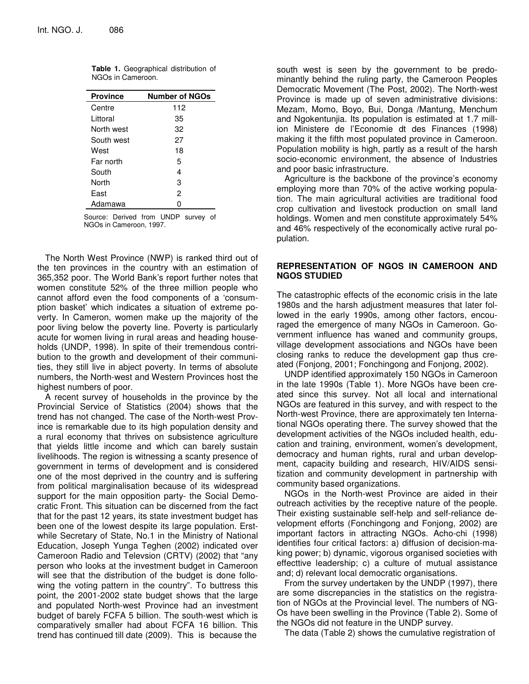| <b>Province</b> | <b>Number of NGOs</b> |
|-----------------|-----------------------|
| Centre          | 112                   |
| Littoral        | 35                    |
| North west      | 32                    |
| South west      | 27                    |
| West            | 18                    |
| Far north       | 5                     |
| South           | 4                     |
| North           | З                     |
| East            | 2                     |
| Adamawa         |                       |

| Table 1. Geographical distribution of |  |
|---------------------------------------|--|
| NGOs in Cameroon.                     |  |

Source: Derived from UNDP survey of NGOs in Cameroon, 1997.

The North West Province (NWP) is ranked third out of the ten provinces in the country with an estimation of 365,352 poor. The World Bank's report further notes that women constitute 52% of the three million people who cannot afford even the food components of a 'consumption basket' which indicates a situation of extreme poverty. In Cameron, women make up the majority of the poor living below the poverty line. Poverty is particularly acute for women living in rural areas and heading households (UNDP, 1998). In spite of their tremendous contribution to the growth and development of their communities, they still live in abject poverty. In terms of absolute numbers, the North-west and Western Provinces host the highest numbers of poor.

A recent survey of households in the province by the Provincial Service of Statistics (2004) shows that the trend has not changed. The case of the North-west Province is remarkable due to its high population density and a rural economy that thrives on subsistence agriculture that yields little income and which can barely sustain livelihoods. The region is witnessing a scanty presence of government in terms of development and is considered one of the most deprived in the country and is suffering from political marginalisation because of its widespread support for the main opposition party- the Social Democratic Front. This situation can be discerned from the fact that for the past 12 years, its state investment budget has been one of the lowest despite its large population. Erstwhile Secretary of State, No.1 in the Ministry of National Education, Joseph Yunga Teghen (2002) indicated over Cameroon Radio and Televsion (CRTV) (2002) that "any person who looks at the investment budget in Cameroon will see that the distribution of the budget is done following the voting pattern in the country". To buttress this point, the 2001-2002 state budget shows that the large and populated North-west Province had an investment budget of barely FCFA 5 billion. The south-west which is comparatively smaller had about FCFA 16 billion. This trend has continued till date (2009). This is because the

south west is seen by the government to be predominantly behind the ruling party, the Cameroon Peoples Democratic Movement (The Post, 2002). The North-west Province is made up of seven administrative divisions: Mezam, Momo, Boyo, Bui, Donga /Mantung, Menchum and Ngokentunjia. Its population is estimated at 1.7 million Ministere de l'Economie dt des Finances (1998) making it the fifth most populated province in Cameroon. Population mobility is high, partly as a result of the harsh socio-economic environment, the absence of Industries and poor basic infrastructure.

Agriculture is the backbone of the province's economy employing more than 70% of the active working population. The main agricultural activities are traditional food crop cultivation and livestock production on small land holdings. Women and men constitute approximately 54% and 46% respectively of the economically active rural population.

#### **REPRESENTATION OF NGOS IN CAMEROON AND NGOS STUDIED**

The catastrophic effects of the economic crisis in the late 1980s and the harsh adjustment measures that later followed in the early 1990s, among other factors, encouraged the emergence of many NGOs in Cameroon. Government influence has waned and community groups, village development associations and NGOs have been closing ranks to reduce the development gap thus created (Fonjong, 2001; Fonchingong and Fonjong, 2002).

UNDP identified approximately 150 NGOs in Cameroon in the late 1990s (Table 1). More NGOs have been created since this survey. Not all local and international NGOs are featured in this survey, and with respect to the North-west Province, there are approximately ten International NGOs operating there. The survey showed that the development activities of the NGOs included health, education and training, environment, women's development, democracy and human rights, rural and urban development, capacity building and research, HIV/AIDS sensitization and community development in partnership with community based organizations.

NGOs in the North-west Province are aided in their outreach activities by the receptive nature of the people. Their existing sustainable self-help and self-reliance development efforts (Fonchingong and Fonjong, 2002) are important factors in attracting NGOs. Acho-chi (1998) identifies four critical factors: a) diffusion of decision-making power; b) dynamic, vigorous organised societies with effecttive leadership; c) a culture of mutual assistance and; d) relevant local democratic organisations.

From the survey undertaken by the UNDP (1997), there are some discrepancies in the statistics on the registration of NGOs at the Provincial level. The numbers of NG-Os have been swelling in the Province (Table 2). Some of the NGOs did not feature in the UNDP survey.

The data (Table 2) shows the cumulative registration of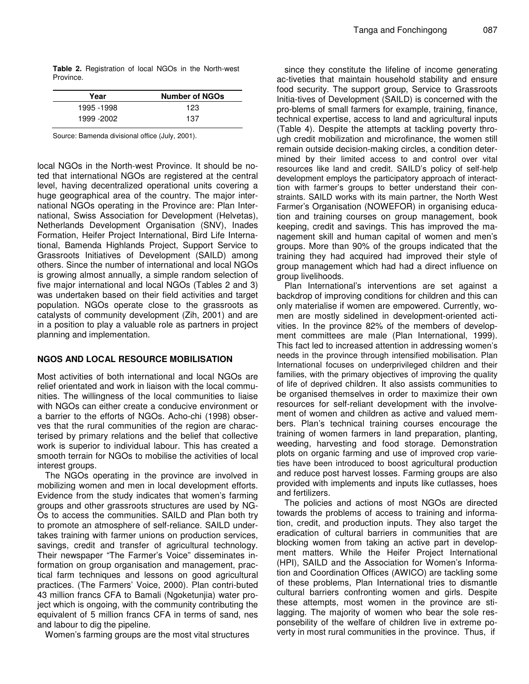**Table 2.** Registration of local NGOs in the North-west Province.

| Year        | <b>Number of NGOs</b> |
|-------------|-----------------------|
| 1995 - 1998 | 123                   |
| 1999 - 2002 | 137                   |

Source: Bamenda divisional office (July, 2001).

local NGOs in the North-west Province. It should be noted that international NGOs are registered at the central level, having decentralized operational units covering a huge geographical area of the country. The major international NGOs operating in the Province are: Plan International, Swiss Association for Development (Helvetas), Netherlands Development Organisation (SNV), Inades Formation, Heifer Project International, Bird Life International, Bamenda Highlands Project, Support Service to Grassroots Initiatives of Development (SAILD) among others. Since the number of international and local NGOs is growing almost annually, a simple random selection of five major international and local NGOs (Tables 2 and 3) was undertaken based on their field activities and target population. NGOs operate close to the grassroots as catalysts of community development (Zih, 2001) and are in a position to play a valuable role as partners in project planning and implementation.

## **NGOS AND LOCAL RESOURCE MOBILISATION**

Most activities of both international and local NGOs are relief orientated and work in liaison with the local communities. The willingness of the local communities to liaise with NGOs can either create a conducive environment or a barrier to the efforts of NGOs. Acho-chi (1998) observes that the rural communities of the region are characterised by primary relations and the belief that collective work is superior to individual labour. This has created a smooth terrain for NGOs to mobilise the activities of local interest groups.

The NGOs operating in the province are involved in mobilizing women and men in local development efforts. Evidence from the study indicates that women's farming groups and other grassroots structures are used by NG-Os to access the communities. SAILD and Plan both try to promote an atmosphere of self-reliance. SAILD undertakes training with farmer unions on production services, savings, credit and transfer of agricultural technology. Their newspaper "The Farmer's Voice" disseminates information on group organisation and management, practical farm techniques and lessons on good agricultural practices. (The Farmers' Voice, 2000). Plan contri-buted 43 million francs CFA to Bamali (Ngoketunjia) water project which is ongoing, with the community contributing the equivalent of 5 million francs CFA in terms of sand, nes and labour to dig the pipeline.

Women's farming groups are the most vital structures

since they constitute the lifeline of income generating ac-tiveties that maintain household stability and ensure food security. The support group, Service to Grassroots Initia-tives of Development (SAILD) is concerned with the pro-blems of small farmers for example, training, finance, technical expertise, access to land and agricultural inputs (Table 4). Despite the attempts at tackling poverty through credit mobilization and microfinance, the women still remain outside decision-making circles, a condition determined by their limited access to and control over vital resources like land and credit. SAILD's policy of self-help development employs the participatory approach of interacttion with farmer's groups to better understand their constraints. SAILD works with its main partner, the North West Farmer's Organisation (NOWEFOR) in organising education and training courses on group management, book keeping, credit and savings. This has improved the management skill and human capital of women and men's groups. More than 90% of the groups indicated that the training they had acquired had improved their style of group management which had had a direct influence on group livelihoods.

Plan International's interventions are set against a backdrop of improving conditions for children and this can only materialise if women are empowered. Currently, women are mostly sidelined in development-oriented activities. In the province 82% of the members of development committees are male (Plan International, 1999). This fact led to increased attention in addressing women's needs in the province through intensified mobilisation. Plan International focuses on underprivileged children and their families, with the primary objectives of improving the quality of life of deprived children. It also assists communities to be organised themselves in order to maximize their own resources for self-reliant development with the involvement of women and children as active and valued members. Plan's technical training courses encourage the training of women farmers in land preparation, planting, weeding, harvesting and food storage. Demonstration plots on organic farming and use of improved crop varieties have been introduced to boost agricultural production and reduce post harvest losses. Farming groups are also provided with implements and inputs like cutlasses, hoes and fertilizers.

The policies and actions of most NGOs are directed towards the problems of access to training and information, credit, and production inputs. They also target the eradication of cultural barriers in communities that are blocking women from taking an active part in development matters. While the Heifer Project International (HPI), SAILD and the Association for Women's Information and Coordination Offices (AWICO) are tackling some of these problems, Plan International tries to dismantle cultural barriers confronting women and girls. Despite these attempts, most women in the province are stilagging. The majority of women who bear the sole responsebility of the welfare of children live in extreme poverty in most rural communities in the province. Thus, if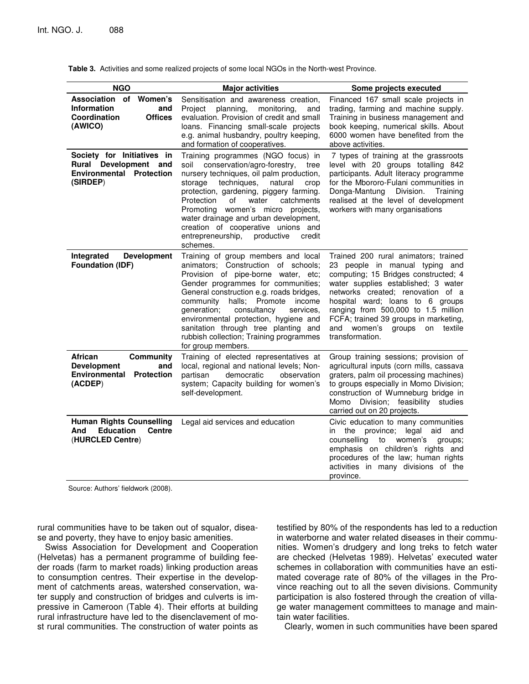| <b>NGO</b>                                                                                                | <b>Major activities</b>                                                                                                                                                                                                                                                                                                                                                                                                                          | Some projects executed                                                                                                                                                                                                                                                                                                                                                         |
|-----------------------------------------------------------------------------------------------------------|--------------------------------------------------------------------------------------------------------------------------------------------------------------------------------------------------------------------------------------------------------------------------------------------------------------------------------------------------------------------------------------------------------------------------------------------------|--------------------------------------------------------------------------------------------------------------------------------------------------------------------------------------------------------------------------------------------------------------------------------------------------------------------------------------------------------------------------------|
| Association of Women's<br>Information<br>and<br>Coordination<br><b>Offices</b><br>(AWICO)                 | Sensitisation and awareness creation,<br>planning,<br>Project<br>monitoring.<br>and<br>evaluation. Provision of credit and small<br>loans. Financing small-scale projects<br>e.g. animal husbandry, poultry keeping,<br>and formation of cooperatives.                                                                                                                                                                                           | Financed 167 small scale projects in<br>trading, farming and machine supply.<br>Training in business management and<br>book keeping, numerical skills. About<br>6000 women have benefited from the<br>above activities.                                                                                                                                                        |
| Society for Initiatives in<br>Rural Development and<br><b>Environmental Protection</b><br>(SIRDEP)        | Training programmes (NGO focus) in<br>conservation/agro-forestry,<br>soil<br>tree<br>nursery techniques, oil palm production,<br>storage<br>techniques,<br>natural<br>crop<br>protection, gardening, piggery farming.<br>catchments<br>Protection<br>of<br>water<br>Promoting<br>women's micro projects,<br>water drainage and urban development,<br>creation of cooperative unions and<br>entrepreneurship,<br>productive<br>credit<br>schemes. | 7 types of training at the grassroots<br>level with 20 groups totalling 842<br>participants. Adult literacy programme<br>for the Mbororo-Fulani communities in<br>Donga-Mantung Division.<br>Training<br>realised at the level of development<br>workers with many organisations                                                                                               |
| Integrated<br><b>Development</b><br><b>Foundation (IDF)</b>                                               | Training of group members and local<br>animators; Construction of schools;<br>Provision of pipe-borne water, etc;<br>Gender programmes for communities;<br>General construction e.g. roads bridges,<br>community<br>halls: Promote<br>income<br>generation;<br>consultancy<br>services.<br>environmental protection, hygiene and<br>sanitation through tree planting and<br>rubbish collection; Training programmes<br>for group members.        | Trained 200 rural animators; trained<br>23 people in manual typing and<br>computing; 15 Bridges constructed; 4<br>water supplies established; 3 water<br>networks created; renovation of a<br>hospital ward; loans to 6 groups<br>ranging from 500,000 to 1.5 million<br>FCFA; trained 39 groups in marketing,<br>women's<br>textile<br>and<br>groups<br>on<br>transformation. |
| African<br><b>Community</b><br><b>Development</b><br>and<br>Environmental<br><b>Protection</b><br>(ACDEF) | Training of elected representatives at<br>local, regional and national levels; Non-<br>democratic<br>observation<br>partisan<br>system; Capacity building for women's<br>self-development.                                                                                                                                                                                                                                                       | Group training sessions; provision of<br>agricultural inputs (corn mills, cassava<br>graters, palm oil processing machines)<br>to groups especially in Momo Division;<br>construction of Wumneburg bridge in<br>Division; feasibility studies<br>Momo<br>carried out on 20 projects.                                                                                           |
| <b>Human Rights Counselling</b><br><b>Education</b><br><b>Centre</b><br>And<br>(HURCLED Centre)           | Legal aid services and education                                                                                                                                                                                                                                                                                                                                                                                                                 | Civic education to many communities<br>the province; legal aid<br>in<br>and<br>counselling<br>to<br>women's<br>groups;<br>emphasis on children's rights and<br>procedures of the law; human rights<br>activities in many divisions of the<br>province.                                                                                                                         |

**Table 3.** Activities and some realized projects of some local NGOs in the North-west Province.

Source: Authors' fieldwork (2008).

rural communities have to be taken out of squalor, disease and poverty, they have to enjoy basic amenities.

Swiss Association for Development and Cooperation (Helvetas) has a permanent programme of building feeder roads (farm to market roads) linking production areas to consumption centres. Their expertise in the development of catchments areas, watershed conservation, water supply and construction of bridges and culverts is impressive in Cameroon (Table 4). Their efforts at building rural infrastructure have led to the disenclavement of most rural communities. The construction of water points as testified by 80% of the respondents has led to a reduction in waterborne and water related diseases in their communities. Women's drudgery and long treks to fetch water are checked (Helvetas 1989). Helvetas' executed water schemes in collaboration with communities have an estimated coverage rate of 80% of the villages in the Province reaching out to all the seven divisions. Community participation is also fostered through the creation of village water management committees to manage and maintain water facilities.

Clearly, women in such communities have been spared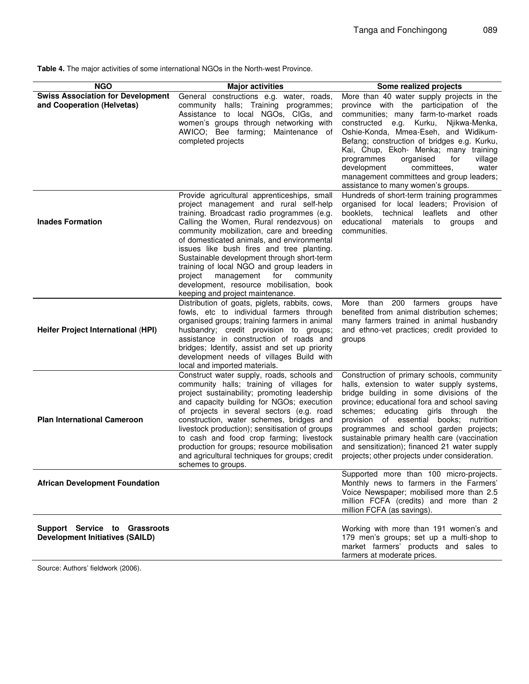**Table 4.** The major activities of some international NGOs in the North-west Province.

| <b>NGO</b>                                                              | <b>Major activities</b>                                                                                                                                                                                                                                                                                                                                                                                                                                                                                                                      | Some realized projects                                                                                                                                                                                                                                                                                                                                                                                                                                                          |
|-------------------------------------------------------------------------|----------------------------------------------------------------------------------------------------------------------------------------------------------------------------------------------------------------------------------------------------------------------------------------------------------------------------------------------------------------------------------------------------------------------------------------------------------------------------------------------------------------------------------------------|---------------------------------------------------------------------------------------------------------------------------------------------------------------------------------------------------------------------------------------------------------------------------------------------------------------------------------------------------------------------------------------------------------------------------------------------------------------------------------|
| <b>Swiss Association for Development</b><br>and Cooperation (Helvetas)  | General constructions e.g. water, roads,<br>community halls; Training programmes;<br>Assistance to local NGOs, CIGs, and<br>women's groups through networking with<br>AWICO; Bee farming; Maintenance of<br>completed projects                                                                                                                                                                                                                                                                                                               | More than 40 water supply projects in the<br>province with the participation of the<br>communities; many farm-to-market roads<br>constructed e.g. Kurku,<br>Njikwa-Menka,<br>Oshie-Konda, Mmea-Eseh, and Widikum-<br>Befang; construction of bridges e.g. Kurku,<br>Kai, Chup, Ekoh- Menka; many training<br>organised<br>programmes<br>for<br>village<br>development<br>committees,<br>water<br>management committees and group leaders;<br>assistance to many women's groups. |
| <b>Inades Formation</b>                                                 | Provide agricultural apprenticeships, small<br>project management and rural self-help<br>training. Broadcast radio programmes (e.g.<br>Calling the Women, Rural rendezvous) on<br>community mobilization, care and breeding<br>of domesticated animals, and environmental<br>issues like bush fires and tree planting.<br>Sustainable development through short-term<br>training of local NGO and group leaders in<br>project<br>management for<br>community<br>development, resource mobilisation, book<br>keeping and project maintenance. | Hundreds of short-term training programmes<br>organised for local leaders; Provision of<br>booklets,<br>technical<br>leaflets<br>and<br>other<br>educational<br>materials<br>to<br>groups<br>and<br>communities.                                                                                                                                                                                                                                                                |
| Heifer Project International (HPI)                                      | Distribution of goats, piglets, rabbits, cows,<br>fowls, etc to individual farmers through<br>organised groups; training farmers in animal<br>husbandry; credit provision to groups;<br>assistance in construction of roads and<br>bridges; Identify, assist and set up priority<br>development needs of villages Build with<br>local and imported materials.                                                                                                                                                                                | More than 200 farmers groups have<br>benefited from animal distribution schemes;<br>many farmers trained in animal husbandry<br>and ethno-vet practices; credit provided to<br>groups                                                                                                                                                                                                                                                                                           |
| <b>Plan International Cameroon</b>                                      | Construct water supply, roads, schools and<br>community halls; training of villages for<br>project sustainability; promoting leadership<br>and capacity building for NGOs; execution<br>of projects in several sectors (e.g. road<br>construction, water schemes, bridges and<br>livestock production); sensitisation of groups<br>to cash and food crop farming; livestock<br>production for groups; resource mobilisation<br>and agricultural techniques for groups; credit<br>schemes to groups.                                          | Construction of primary schools, community<br>halls, extension to water supply systems,<br>bridge building in some divisions of the<br>province; educational fora and school saving<br>schemes; educating girls through the<br>provision of essential books; nutrition<br>programmes and school garden projects;<br>sustainable primary health care (vaccination<br>and sensitization); financed 21 water supply<br>projects; other projects under consideration.               |
| <b>African Development Foundation</b>                                   |                                                                                                                                                                                                                                                                                                                                                                                                                                                                                                                                              | Supported more than 100 micro-projects.<br>Monthly news to farmers in the Farmers'<br>Voice Newspaper; mobilised more than 2.5<br>million FCFA (credits) and more than 2<br>million FCFA (as savings).                                                                                                                                                                                                                                                                          |
| Support Service to Grassroots<br><b>Development Initiatives (SAILD)</b> |                                                                                                                                                                                                                                                                                                                                                                                                                                                                                                                                              | Working with more than 191 women's and<br>179 men's groups; set up a multi-shop to<br>market farmers' products and sales to<br>farmers at moderate prices.                                                                                                                                                                                                                                                                                                                      |

Source: Authors' fieldwork (2006).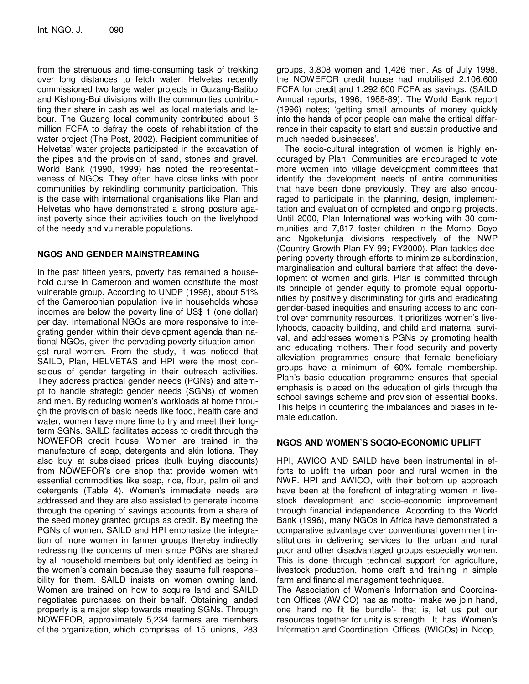from the strenuous and time-consuming task of trekking over long distances to fetch water. Helvetas recently commissioned two large water projects in Guzang-Batibo and Kishong-Bui divisions with the communities contributing their share in cash as well as local materials and labour. The Guzang local community contributed about 6 million FCFA to defray the costs of rehabilitation of the water project (The Post, 2002). Recipient communities of Helvetas' water projects participated in the excavation of the pipes and the provision of sand, stones and gravel. World Bank (1990, 1999) has noted the representativeness of NGOs. They often have close links with poor communities by rekindling community participation. This is the case with international organisations like Plan and Helvetas who have demonstrated a strong posture against poverty since their activities touch on the livelyhood of the needy and vulnerable populations.

## **NGOS AND GENDER MAINSTREAMING**

In the past fifteen years, poverty has remained a household curse in Cameroon and women constitute the most vulnerable group. According to UNDP (1998), about 51% of the Cameroonian population live in households whose incomes are below the poverty line of US\$ 1 (one dollar) per day. International NGOs are more responsive to integrating gender within their development agenda than national NGOs, given the pervading poverty situation amongst rural women. From the study, it was noticed that SAILD, Plan, HELVETAS and HPI were the most conscious of gender targeting in their outreach activities. They address practical gender needs (PGNs) and attempt to handle strategic gender needs (SGNs) of women and men. By reducing women's workloads at home through the provision of basic needs like food, health care and water, women have more time to try and meet their longterm SGNs. SAILD facilitates access to credit through the NOWEFOR credit house. Women are trained in the manufacture of soap, detergents and skin lotions. They also buy at subsidised prices (bulk buying discounts) from NOWEFOR's one shop that provide women with essential commodities like soap, rice, flour, palm oil and detergents (Table 4). Women's immediate needs are addressed and they are also assisted to generate income through the opening of savings accounts from a share of the seed money granted groups as credit. By meeting the PGNs of women, SAILD and HPI emphasize the integration of more women in farmer groups thereby indirectly redressing the concerns of men since PGNs are shared by all household members but only identified as being in the women's domain because they assume full responsibility for them. SAILD insists on women owning land. Women are trained on how to acquire land and SAILD negotiates purchases on their behalf. Obtaining landed property is a major step towards meeting SGNs. Through NOWEFOR, approximately 5,234 farmers are members of the organization, which comprises of 15 unions, 283 groups, 3,808 women and 1,426 men. As of July 1998, the NOWEFOR credit house had mobilised 2.106.600 FCFA for credit and 1.292.600 FCFA as savings. (SAILD Annual reports, 1996; 1988-89). The World Bank report (1996) notes; 'getting small amounts of money quickly into the hands of poor people can make the critical differrence in their capacity to start and sustain productive and much needed businesses'.

The socio-cultural integration of women is highly encouraged by Plan. Communities are encouraged to vote more women into village development committees that identify the development needs of entire communities that have been done previously. They are also encouraged to participate in the planning, design, implementtation and evaluation of completed and ongoing projects. Until 2000, Plan International was working with 30 communities and 7,817 foster children in the Momo, Boyo and Ngoketunjia divisions respectively of the NWP (Country Growth Plan FY 99; FY2000). Plan tackles deepening poverty through efforts to minimize subordination, marginalisation and cultural barriers that affect the development of women and girls. Plan is committed through its principle of gender equity to promote equal opportunities by positively discriminating for girls and eradicating gender-based inequities and ensuring access to and control over community resources. It prioritizes women's livelyhoods, capacity building, and child and maternal survival, and addresses women's PGNs by promoting health and educating mothers. Their food security and poverty alleviation programmes ensure that female beneficiary groups have a minimum of 60% female membership. Plan's basic education programme ensures that special emphasis is placed on the education of girls through the school savings scheme and provision of essential books. This helps in countering the imbalances and biases in female education.

## **NGOS AND WOMEN'S SOCIO-ECONOMIC UPLIFT**

HPI, AWICO AND SAILD have been instrumental in efforts to uplift the urban poor and rural women in the NWP. HPI and AWICO, with their bottom up approach have been at the forefront of integrating women in livestock development and socio-economic improvement through financial independence. According to the World Bank (1996), many NGOs in Africa have demonstrated a comparative advantage over conventional government institutions in delivering services to the urban and rural poor and other disadvantaged groups especially women. This is done through technical support for agriculture, livestock production, home craft and training in simple farm and financial management techniques.

The Association of Women's Information and Coordination Offices (AWICO) has as motto- 'make we join hand, one hand no fit tie bundle'- that is, let us put our resources together for unity is strength. It has Women's Information and Coordination Offices (WICOs) in Ndop,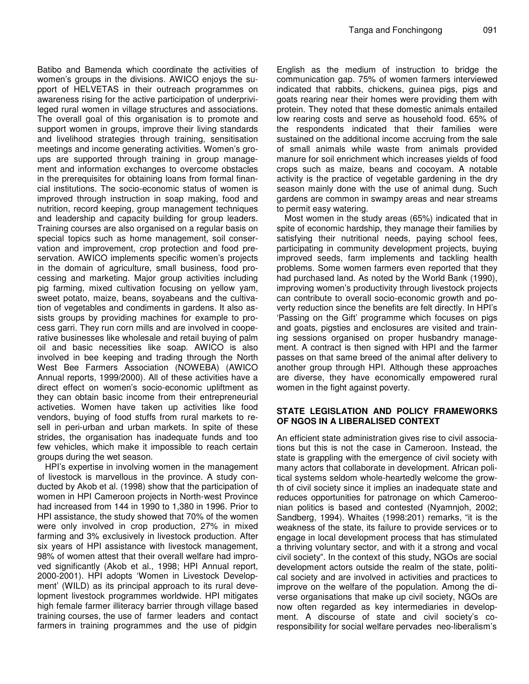Batibo and Bamenda which coordinate the activities of women's groups in the divisions. AWICO enjoys the support of HELVETAS in their outreach programmes on awareness rising for the active participation of underprivileged rural women in village structures and associations. The overall goal of this organisation is to promote and support women in groups, improve their living standards and livelihood strategies through training, sensitisation meetings and income generating activities. Women's groups are supported through training in group management and information exchanges to overcome obstacles in the prerequisites for obtaining loans from formal financial institutions. The socio-economic status of women is improved through instruction in soap making, food and nutrition, record keeping, group management techniques and leadership and capacity building for group leaders. Training courses are also organised on a regular basis on special topics such as home management, soil conservation and improvement, crop protection and food preservation. AWICO implements specific women's projects in the domain of agriculture, small business, food processing and marketing. Major group activities including pig farming, mixed cultivation focusing on yellow yam, sweet potato, maize, beans, soyabeans and the cultivation of vegetables and condiments in gardens. It also assists groups by providing machines for example to process garri. They run corn mills and are involved in cooperative businesses like wholesale and retail buying of palm oil and basic necessities like soap. AWICO is also involved in bee keeping and trading through the North West Bee Farmers Association (NOWEBA) (AWICO Annual reports, 1999/2000). All of these activities have a direct effect on women's socio-economic upliftment as they can obtain basic income from their entrepreneurial activeties. Women have taken up activities like food vendors, buying of food stuffs from rural markets to resell in peri-urban and urban markets. In spite of these strides, the organisation has inadequate funds and too few vehicles, which make it impossible to reach certain groups during the wet season.

HPI's expertise in involving women in the management of livestock is marvellous in the province. A study conducted by Akob et al. (1998) show that the participation of women in HPI Cameroon projects in North-west Province had increased from 144 in 1990 to 1,380 in 1996. Prior to HPI assistance, the study showed that 70% of the women were only involved in crop production, 27% in mixed farming and 3% exclusively in livestock production. After six years of HPI assistance with livestock management, 98% of women attest that their overall welfare had improved significantly (Akob et al., 1998; HPI Annual report, 2000-2001). HPI adopts 'Women in Livestock Development' (WILD) as its principal approach to its rural development livestock programmes worldwide. HPI mitigates high female farmer illiteracy barrier through village based training courses, the use of farmer leaders and contact farmers in training programmes and the use of pidgin

English as the medium of instruction to bridge the communication gap. 75% of women farmers interviewed indicated that rabbits, chickens, guinea pigs, pigs and goats rearing near their homes were providing them with protein. They noted that these domestic animals entailed low rearing costs and serve as household food. 65% of the respondents indicated that their families were sustained on the additional income accruing from the sale of small animals while waste from animals provided manure for soil enrichment which increases yields of food crops such as maize, beans and cocoyam. A notable activity is the practice of vegetable gardening in the dry season mainly done with the use of animal dung. Such gardens are common in swampy areas and near streams to permit easy watering.

Most women in the study areas (65%) indicated that in spite of economic hardship, they manage their families by satisfying their nutritional needs, paying school fees, participating in community development projects, buying improved seeds, farm implements and tackling health problems. Some women farmers even reported that they had purchased land. As noted by the World Bank (1990), improving women's productivity through livestock projects can contribute to overall socio-economic growth and poverty reduction since the benefits are felt directly. In HPI's 'Passing on the Gift' programme which focuses on pigs and goats, pigsties and enclosures are visited and training sessions organised on proper husbandry management. A contract is then signed with HPI and the farmer passes on that same breed of the animal after delivery to another group through HPI. Although these approaches are diverse, they have economically empowered rural women in the fight against poverty.

### **STATE LEGISLATION AND POLICY FRAMEWORKS OF NGOS IN A LIBERALISED CONTEXT**

An efficient state administration gives rise to civil associations but this is not the case in Cameroon. Instead, the state is grappling with the emergence of civil society with many actors that collaborate in development. African political systems seldom whole-heartedly welcome the growth of civil society since it implies an inadequate state and reduces opportunities for patronage on which Cameroonian politics is based and contested (Nyamnjoh, 2002; Sandberg, 1994). Whaites (1998:201) remarks, "it is the weakness of the state, its failure to provide services or to engage in local development process that has stimulated a thriving voluntary sector, and with it a strong and vocal civil society". In the context of this study, NGOs are social development actors outside the realm of the state, political society and are involved in activities and practices to improve on the welfare of the population. Among the diverse organisations that make up civil society, NGOs are now often regarded as key intermediaries in development. A discourse of state and civil society's coresponsibility for social welfare pervades neo-liberalism's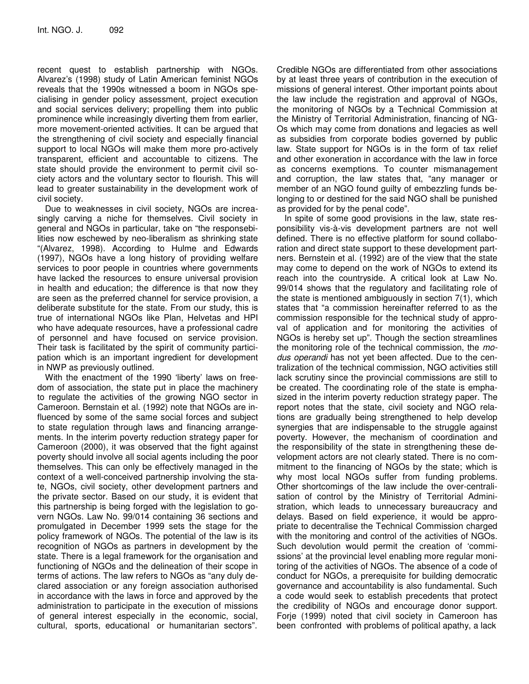recent quest to establish partnership with NGOs. Alvarez's (1998) study of Latin American feminist NGOs reveals that the 1990s witnessed a boom in NGOs specialising in gender policy assessment, project execution and social services delivery; propelling them into public prominence while increasingly diverting them from earlier, more movement-oriented activities. It can be argued that the strengthening of civil society and especially financial support to local NGOs will make them more pro-actively transparent, efficient and accountable to citizens. The state should provide the environment to permit civil society actors and the voluntary sector to flourish. This will lead to greater sustainability in the development work of civil society.

Due to weaknesses in civil society, NGOs are increasingly carving a niche for themselves. Civil society in general and NGOs in particular, take on "the responsebilities now eschewed by neo-liberalism as shrinking state "(Alvarez, 1998). According to Hulme and Edwards (1997), NGOs have a long history of providing welfare services to poor people in countries where governments have lacked the resources to ensure universal provision in health and education; the difference is that now they are seen as the preferred channel for service provision, a deliberate substitute for the state. From our study, this is true of international NGOs like Plan, Helvetas and HPI who have adequate resources, have a professional cadre of personnel and have focused on service provision. Their task is facilitated by the spirit of community participation which is an important ingredient for development in NWP as previously outlined.

With the enactment of the 1990 'liberty' laws on freedom of association, the state put in place the machinery to regulate the activities of the growing NGO sector in Cameroon. Bernstain et al. (1992) note that NGOs are influenced by some of the same social forces and subject to state regulation through laws and financing arrangements. In the interim poverty reduction strategy paper for Cameroon (2000), it was observed that the fight against poverty should involve all social agents including the poor themselves. This can only be effectively managed in the context of a well-conceived partnership involving the state, NGOs, civil society, other development partners and the private sector. Based on our study, it is evident that this partnership is being forged with the legislation to govern NGOs. Law No. 99/014 containing 36 sections and promulgated in December 1999 sets the stage for the policy framework of NGOs. The potential of the law is its recognition of NGOs as partners in development by the state. There is a legal framework for the organisation and functioning of NGOs and the delineation of their scope in terms of actions. The law refers to NGOs as "any duly declared association or any foreign association authorised in accordance with the laws in force and approved by the administration to participate in the execution of missions of general interest especially in the economic, social, cultural, sports, educational or humanitarian sectors".

Credible NGOs are differentiated from other associations by at least three years of contribution in the execution of missions of general interest. Other important points about the law include the registration and approval of NGOs, the monitoring of NGOs by a Technical Commission at the Ministry of Territorial Administration, financing of NG-Os which may come from donations and legacies as well as subsidies from corporate bodies governed by public law. State support for NGOs is in the form of tax relief and other exoneration in accordance with the law in force as concerns exemptions. To counter mismanagement and corruption, the law states that, "any manager or member of an NGO found guilty of embezzling funds belonging to or destined for the said NGO shall be punished as provided for by the penal code".

In spite of some good provisions in the law, state responsibility vis-à-vis development partners are not well defined. There is no effective platform for sound collaboration and direct state support to these development partners. Bernstein et al. (1992) are of the view that the state may come to depend on the work of NGOs to extend its reach into the countryside. A critical look at Law No. 99/014 shows that the regulatory and facilitating role of the state is mentioned ambiguously in section 7(1), which states that "a commission hereinafter referred to as the commission responsible for the technical study of approval of application and for monitoring the activities of NGOs is hereby set up". Though the section streamlines the monitoring role of the technical commission, the *modus operandi* has not yet been affected. Due to the centralization of the technical commission, NGO activities still lack scrutiny since the provincial commissions are still to be created. The coordinating role of the state is emphasized in the interim poverty reduction strategy paper. The report notes that the state, civil society and NGO relations are gradually being strengthened to help develop synergies that are indispensable to the struggle against poverty. However, the mechanism of coordination and the responsibility of the state in strengthening these development actors are not clearly stated. There is no commitment to the financing of NGOs by the state; which is why most local NGOs suffer from funding problems. Other shortcomings of the law include the over-centralisation of control by the Ministry of Territorial Administration, which leads to unnecessary bureaucracy and delays. Based on field experience, it would be appropriate to decentralise the Technical Commission charged with the monitoring and control of the activities of NGOs. Such devolution would permit the creation of 'commissions' at the provincial level enabling more regular monitoring of the activities of NGOs. The absence of a code of conduct for NGOs, a prerequisite for building democratic governance and accountability is also fundamental. Such a code would seek to establish precedents that protect the credibility of NGOs and encourage donor support. Forie (1999) noted that civil society in Cameroon has been confronted with problems of political apathy, a lack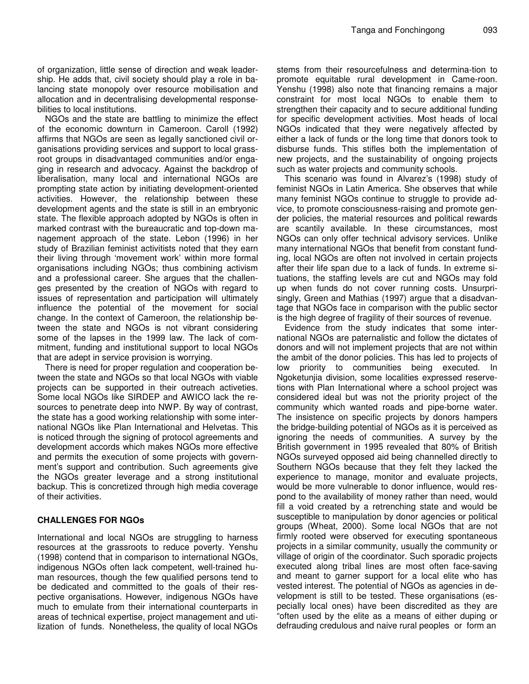of organization, little sense of direction and weak leadership. He adds that, civil society should play a role in balancing state monopoly over resource mobilisation and allocation and in decentralising developmental responsebilities to local institutions.

NGOs and the state are battling to minimize the effect of the economic downturn in Cameroon. Caroll (1992) affirms that NGOs are seen as legally sanctioned civil organisations providing services and support to local grassroot groups in disadvantaged communities and/or engaging in research and advocacy. Against the backdrop of liberalisation, many local and international NGOs are prompting state action by initiating development-oriented activities. However, the relationship between these development agents and the state is still in an embryonic state. The flexible approach adopted by NGOs is often in marked contrast with the bureaucratic and top-down management approach of the state. Lebon (1996) in her study of Brazilian feminist activitists noted that they earn their living through 'movement work' within more formal organisations including NGOs; thus combining activism and a professional career. She argues that the challenges presented by the creation of NGOs with regard to issues of representation and participation will ultimately influence the potential of the movement for social change. In the context of Cameroon, the relationship between the state and NGOs is not vibrant considering some of the lapses in the 1999 law. The lack of commitment, funding and institutional support to local NGOs that are adept in service provision is worrying.

There is need for proper regulation and cooperation between the state and NGOs so that local NGOs with viable projects can be supported in their outreach activeties. Some local NGOs like SIRDEP and AWICO lack the resources to penetrate deep into NWP. By way of contrast, the state has a good working relationship with some international NGOs like Plan International and Helvetas. This is noticed through the signing of protocol agreements and development accords which makes NGOs more effective and permits the execution of some projects with government's support and contribution. Such agreements give the NGOs greater leverage and a strong institutional backup. This is concretized through high media coverage of their activities.

## **CHALLENGES FOR NGOs**

International and local NGOs are struggling to harness resources at the grassroots to reduce poverty. Yenshu (1998) contend that in comparison to international NGOs, indigenous NGOs often lack competent, well-trained human resources, though the few qualified persons tend to be dedicated and committed to the goals of their respective organisations. However, indigenous NGOs have much to emulate from their international counterparts in areas of technical expertise, project management and utilization of funds. Nonetheless, the quality of local NGOs stems from their resourcefulness and determina-tion to promote equitable rural development in Came-roon. Yenshu (1998) also note that financing remains a major constraint for most local NGOs to enable them to strengthen their capacity and to secure additional funding for specific development activities. Most heads of local NGOs indicated that they were negatively affected by either a lack of funds or the long time that donors took to disburse funds. This stifles both the implementation of new projects, and the sustainability of ongoing projects such as water projects and community schools.

This scenario was found in Alvarez's (1998) study of feminist NGOs in Latin America. She observes that while many feminist NGOs continue to struggle to provide advice, to promote consciousness-raising and promote gender policies, the material resources and political rewards are scantily available. In these circumstances, most NGOs can only offer technical advisory services. Unlike many international NGOs that benefit from constant funding, local NGOs are often not involved in certain projects after their life span due to a lack of funds. In extreme situations, the staffing levels are cut and NGOs may fold up when funds do not cover running costs. Unsurprisingly, Green and Mathias (1997) argue that a disadvantage that NGOs face in comparison with the public sector is the high degree of fragility of their sources of revenue.

Evidence from the study indicates that some international NGOs are paternalistic and follow the dictates of donors and will not implement projects that are not within the ambit of the donor policies. This has led to projects of low priority to communities being executed. In Ngoketunjia division, some localities expressed reservetions with Plan International where a school project was considered ideal but was not the priority project of the community which wanted roads and pipe-borne water. The insistence on specific projects by donors hampers the bridge-building potential of NGOs as it is perceived as ignoring the needs of communities. A survey by the British government in 1995 revealed that 80% of British NGOs surveyed opposed aid being channelled directly to Southern NGOs because that they felt they lacked the experience to manage, monitor and evaluate projects, would be more vulnerable to donor influence, would respond to the availability of money rather than need, would fill a void created by a retrenching state and would be susceptible to manipulation by donor agencies or political groups (Wheat, 2000). Some local NGOs that are not firmly rooted were observed for executing spontaneous projects in a similar community, usually the community or village of origin of the coordinator. Such sporadic projects executed along tribal lines are most often face-saving and meant to garner support for a local elite who has vested interest. The potential of NGOs as agencies in development is still to be tested. These organisations (especially local ones) have been discredited as they are "often used by the elite as a means of either duping or defrauding credulous and naive rural peoples or form an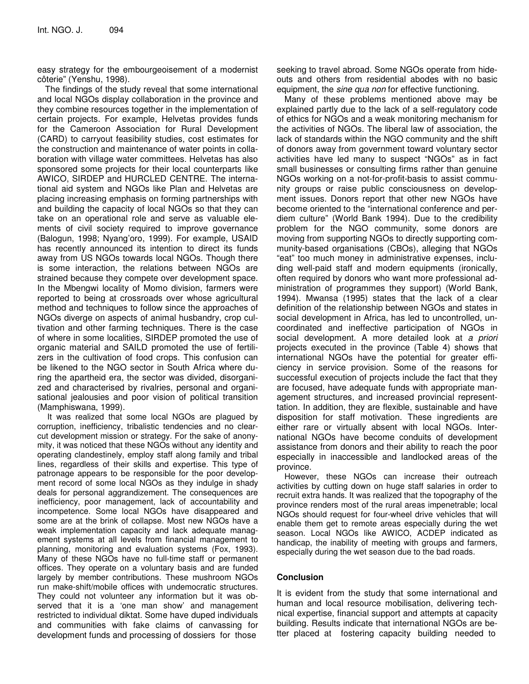easy strategy for the embourgeoisement of a modernist côterie" (Yenshu, 1998).

The findings of the study reveal that some international and local NGOs display collaboration in the province and they combine resources together in the implementation of certain projects. For example, Helvetas provides funds for the Cameroon Association for Rural Development (CARD) to carryout feasibility studies, cost estimates for the construction and maintenance of water points in collaboration with village water committees. Helvetas has also sponsored some projects for their local counterparts like AWICO, SIRDEP and HURCLED CENTRE. The international aid system and NGOs like Plan and Helvetas are placing increasing emphasis on forming partnerships with and building the capacity of local NGOs so that they can take on an operational role and serve as valuable elements of civil society required to improve governance (Balogun, 1998; Nyang'oro, 1999). For example, USAID has recently announced its intention to direct its funds away from US NGOs towards local NGOs. Though there is some interaction, the relations between NGOs are strained because they compete over development space. In the Mbengwi locality of Momo division, farmers were reported to being at crossroads over whose agricultural method and techniques to follow since the approaches of NGOs diverge on aspects of animal husbandry, crop cultivation and other farming techniques. There is the case of where in some localities, SIRDEP promoted the use of organic material and SAILD promoted the use of fertilizers in the cultivation of food crops. This confusion can be likened to the NGO sector in South Africa where during the apartheid era, the sector was divided, disorganized and characterised by rivalries, personal and organisational jealousies and poor vision of political transition (Mamphiswana, 1999).

It was realized that some local NGOs are plagued by corruption, inefficiency, tribalistic tendencies and no clearcut development mission or strategy. For the sake of anonymity, it was noticed that these NGOs without any identity and operating clandestinely, employ staff along family and tribal lines, regardless of their skills and expertise. This type of patronage appears to be responsible for the poor development record of some local NGOs as they indulge in shady deals for personal aggrandizement. The consequences are inefficiency, poor management, lack of accountability and incompetence. Some local NGOs have disappeared and some are at the brink of collapse. Most new NGOs have a weak implementation capacity and lack adequate management systems at all levels from financial management to planning, monitoring and evaluation systems (Fox, 1993). Many of these NGOs have no full-time staff or permanent offices. They operate on a voluntary basis and are funded largely by member contributions. These mushroom NGOs run make-shift/mobile offices with undemocratic structures. They could not volunteer any information but it was observed that it is a 'one man show' and management restricted to individual diktat. Some have duped individuals and communities with fake claims of canvassing for development funds and processing of dossiers for those

seeking to travel abroad. Some NGOs operate from hideouts and others from residential abodes with no basic equipment, the *sine qua non* for effective functioning.

Many of these problems mentioned above may be explained partly due to the lack of a self-regulatory code of ethics for NGOs and a weak monitoring mechanism for the activities of NGOs. The liberal law of association, the lack of standards within the NGO community and the shift of donors away from government toward voluntary sector activities have led many to suspect "NGOs" as in fact small businesses or consulting firms rather than genuine NGOs working on a not-for-profit-basis to assist community groups or raise public consciousness on development issues. Donors report that other new NGOs have become oriented to the "international conference and perdiem culture" (World Bank 1994). Due to the credibility problem for the NGO community, some donors are moving from supporting NGOs to directly supporting community-based organisations (CBOs), alleging that NGOs "eat" too much money in administrative expenses, including well-paid staff and modern equipments (ironically, often required by donors who want more professional administration of programmes they support) (World Bank, 1994). Mwansa (1995) states that the lack of a clear definition of the relationship between NGOs and states in social development in Africa, has led to uncontrolled, uncoordinated and ineffective participation of NGOs in social development. A more detailed look at *a priori* projects executed in the province (Table 4) shows that international NGOs have the potential for greater efficiency in service provision. Some of the reasons for successful execution of projects include the fact that they are focused, have adequate funds with appropriate management structures, and increased provincial representtation. In addition, they are flexible, sustainable and have disposition for staff motivation. These ingredients are either rare or virtually absent with local NGOs. International NGOs have become conduits of development assistance from donors and their ability to reach the poor especially in inaccessible and landlocked areas of the province.

However, these NGOs can increase their outreach activities by cutting down on huge staff salaries in order to recruit extra hands. It was realized that the topography of the province renders most of the rural areas impenetrable; local NGOs should request for four-wheel drive vehicles that will enable them get to remote areas especially during the wet season. Local NGOs like AWICO, ACDEP indicated as handicap, the inability of meeting with groups and farmers, especially during the wet season due to the bad roads.

### **Conclusion**

It is evident from the study that some international and human and local resource mobilisation, delivering technical expertise, financial support and attempts at capacity building. Results indicate that international NGOs are better placed at fostering capacity building needed to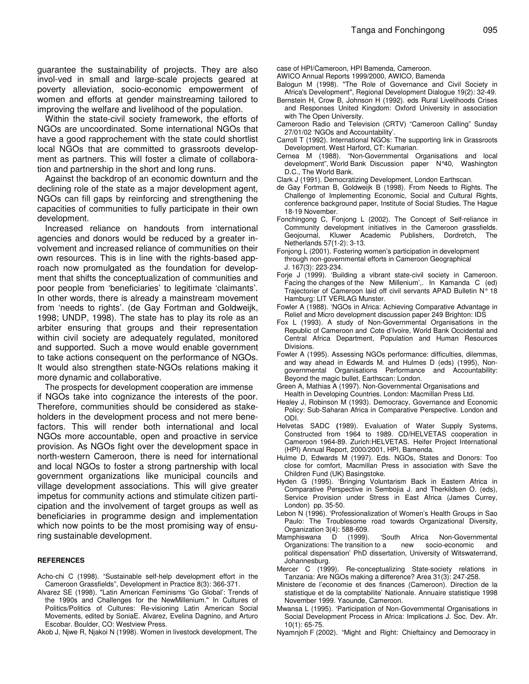Within the state-civil society framework, the efforts of NGOs are uncoordinated. Some international NGOs that have a good rapprochement with the state could shortlist local NGOs that are committed to grassroots development as partners. This will foster a climate of collaboration and partnership in the short and long runs.

Against the backdrop of an economic downturn and the declining role of the state as a major development agent, NGOs can fill gaps by reinforcing and strengthening the capacities of communities to fully participate in their own development.

Increased reliance on handouts from international agencies and donors would be reduced by a greater involvement and increased reliance of communities on their own resources. This is in line with the rights-based approach now promulgated as the foundation for development that shifts the conceptualization of communities and poor people from 'beneficiaries' to legitimate 'claimants'. In other words, there is already a mainstream movement from 'needs to rights'. (de Gay Fortman and Goldweijk, 1998; UNDP, 1998). The state has to play its role as an arbiter ensuring that groups and their representation within civil society are adequately regulated, monitored and supported. Such a move would enable government to take actions consequent on the performance of NGOs. It would also strengthen state-NGOs relations making it more dynamic and collaborative.

The prospects for development cooperation are immense if NGOs take into cognizance the interests of the poor. Therefore, communities should be considered as stakeholders in the development process and not mere benefactors. This will render both international and local NGOs more accountable, open and proactive in service provision. As NGOs fight over the development space in north-western Cameroon, there is need for international and local NGOs to foster a strong partnership with local government organizations like municipal councils and village development associations. This will give greater impetus for community actions and stimulate citizen participation and the involvement of target groups as well as beneficiaries in programme design and implementation which now points to be the most promising way of ensuring sustainable development.

#### **REFERENCES**

- Acho-chi C (1998). "Sustainable self-help development effort in the Cameroon Grassfields", Development in Practice 8(3): 366-371.
- Alvarez SE (1998). "Latin American Feminisms 'Go Global': Trends of the 1990s and Challenges for the NewMillenium." In Cultures of Politics/Politics of Cultures: Re-visioning Latin American Social Movements, edited by SoniaE. Alvarez, Evelina Dagnino, and Arturo Escobar. Boulder, CO: Westview Press.
- Akob J, Njwe R, Njakoi N (1998). Women in livestock development, The

case of HPI/Cameroon, HPI Bamenda, Cameroon.

AWICO Annual Reports 1999/2000, AWICO, Bamenda

- Balogun M (1998). "The Role of Governance and Civil Society in Africa's Development", Regional Development Dialogue 19(2): 32-49.
- Bernstein H, Crow B, Johnson H (1992). eds Rural Livelihoods Crises and Responses United Kingdom: Oxford University in association with The Open University.
- Cameroon Radio and Television (CRTV) "Cameroon Calling" Sunday 27/01/02 'NGOs and Accountability'.
- Carroll T (1992). International NGOs: The supporting link in Grassroots Development. West Harford, CT: Kumarian.
- Cernea M (1988). "Non-Governmental Organisations and local development", World Bank Discussion paper N°40, Washington D.C., The World Bank.
- Clark J (1991). Democratizing Development, London Earthscan.
- de Gay Fortman B, Goldweijk B (1998). From Needs to Rights. The Challenge of Implementing Economic, Social and Cultural Rights, conference background paper, Institute of Social Studies, The Hague 18-19 November.
- Fonchingong C, Fonjong L (2002). The Concept of Self-reliance in Community development initiatives in the Cameroon grassfields. Geojournal, Kluwer Academic Publishers, Dordretch, The Netherlands 57(1-2): 3-13.
- Fonjong L (2001). Fostering women's participation in development through non-governmental efforts in Cameroon Geographical J. 167(3): 223-234.
- Forje J (1999). 'Building a vibrant state-civil society in Cameroon. Facing the changes of the New Millenium',. In Kamanda C (ed) Trajectorier of Cameroon laid off civil servants APAD Bulletin N° 18 Hamburg: LIT VERLAG Munster.
- Fowler A (1988). 'NGOs in Africa: Achieving Comparative Advantage in Relief and Micro development discussion paper 249 Brighton: IDS
- Fox L (1993). A study of Non-Governmental Organisations in the Republic of Cameroon and Cote d'Ivoire, World Bank Occidental and Central Africa Department, Population and Human Resources Divisions.
- Fowler A (1995). Assessing NGOs performance: difficulties, dilemmas, and way ahead in Edwards M. and Hulmes D (eds) (1995), Nongovernmental Organisations Performance and Accountability: Beyond the magic bullet, Earthscan: London.
- Green A, Mathias A (1997). Non-Governmental Organisations and Health in Developing Countries. London: Macmillan Press Ltd.
- Healey J, Robinson M (1993). Democracy, Governance and Economic Policy: Sub-Saharan Africa in Comparative Perspective. London and ODI.
- Helvetas SADC **(**1989). Evaluation of Water Supply Systems, Constructed from 1964 to 1989. CD/HELVETAS cooperation in Cameroon 1964-89. Zurich:HELVETAS. Heifer Project International (HPI) Annual Report, 2000/2001, HPI, Bamenda.
- Hulme D, Edwards M (1997). Eds. NGOs, States and Donors: Too close for comfort, Macmillan Press in association with Save the Children Fund (UK) Basingstoke.
- Hyden G (1995). 'Bringing Voluntarism Back in Eastern Africa in Comparative Perspective in Sembojia J. and Therkildsen O. (eds), Service Provision under Stress in East Africa (James Currey, London) pp. 35-50.
- Lebon N (1996). 'Professionalization of Women's Health Groups in Sao Paulo: The Troublesome road towards Organizational Diversity, Organization 3(4): 588-609.
- Mamphiswana D (1999). 'South Africa Non-Governmental Organizations: The transition to a new socio-economic and political dispensation' PhD dissertation, University of Witswaterrand, Johannesburg.
- Mercer C (1999). Re-conceptualizing State-society relations in Tanzania: Are NGOs making a difference? Area 31(3): 247-258.
- Ministere de l'economie et des finances (Cameroon). Direction de la statistique et de la comptabilite' Nationale. Annuaire statistique 1998 November 1999. Yaounde, Cameroon.
- Mwansa L (1995). 'Participation of Non-Governmental Organisations in Social Development Process in Africa: Implications J. Soc. Dev. Afr. 10(1): 65-75.
- Nyamnjoh F (2002). "Might and Right: Chieftaincy and Democracy in